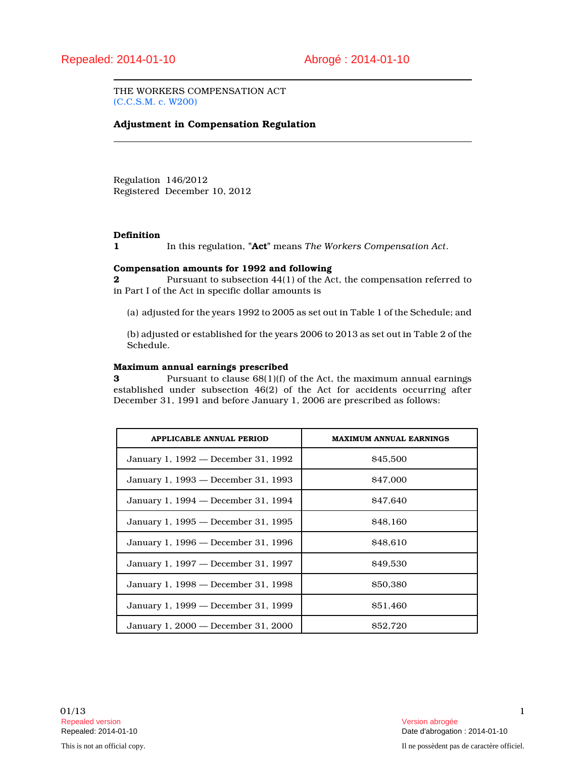THE WORKERS COMPENSATION ACT (C.C.S.M. c. W200)

## **Adjustment in Compensation Regulation**

Regulation 146/2012 Registered December 10, 2012

#### **Definition**

**1** In this regulation, **"Act"** means *The Workers Compensation Act*.

### **Compensation amounts for 1992 and following**

**2** Pursuant to subsection 44(1) of the Act, the compensation referred to in Part I of the Act in specific dollar amounts is

(a) adjusted for the years 1992 to 2005 as set out in Table 1 of the Schedule; and

(b) adjusted or established for the years 2006 to 2013 as set out in Table 2 of the Schedule.

#### **Maximum annual earnings prescribed**

**3** Pursuant to clause 68(1)(f) of the Act, the maximum annual earnings established under subsection 46(2) of the Act for accidents occurring after December 31, 1991 and before January 1, 2006 are prescribed as follows:

| APPLICABLE ANNUAL PERIOD            | <b>MAXIMUM ANNUAL EARNINGS</b> |
|-------------------------------------|--------------------------------|
| January 1, 1992 — December 31, 1992 | \$45,500                       |
| January 1, 1993 — December 31, 1993 | <b>S47,000</b>                 |
| January 1, 1994 — December 31, 1994 | \$47.640                       |
| January 1, 1995 — December 31, 1995 | <b>S<sub>48</sub></b> .160     |
| January 1, 1996 — December 31, 1996 | \$48.610                       |
| January 1, 1997 — December 31, 1997 | \$49,530                       |
| January 1, 1998 — December 31, 1998 | \$50,380                       |
| January 1, 1999 — December 31, 1999 | \$51.460                       |
| January 1, 2000 - December 31, 2000 | <b>S52.720</b>                 |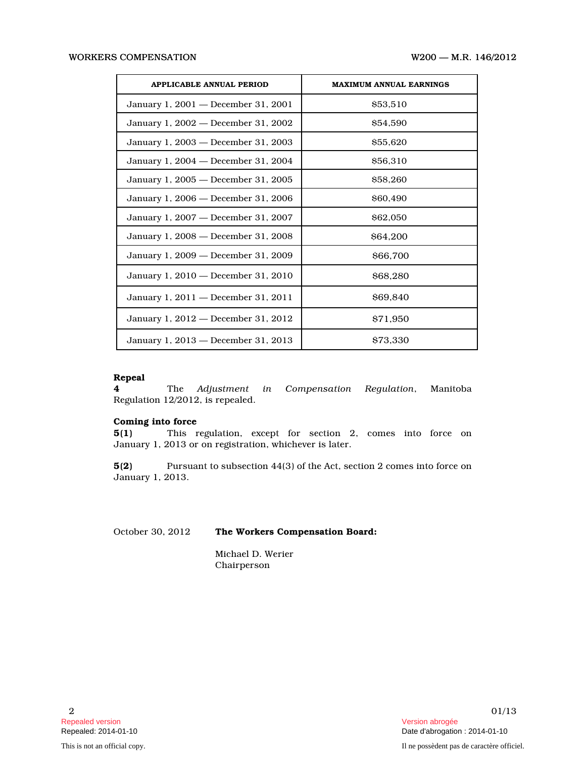| <b>APPLICABLE ANNUAL PERIOD</b>     | <b>MAXIMUM ANNUAL EARNINGS</b> |
|-------------------------------------|--------------------------------|
| January 1, 2001 — December 31, 2001 | \$53,510                       |
| January 1, 2002 — December 31, 2002 | \$54.590                       |
| January 1, 2003 — December 31, 2003 | \$55,620                       |
| January 1, 2004 — December 31, 2004 | \$56.310                       |
| January 1, 2005 — December 31, 2005 | \$58,260                       |
| January 1, 2006 — December 31, 2006 | \$60,490                       |
| January 1, 2007 — December 31, 2007 | \$62,050                       |
| January 1, 2008 — December 31, 2008 | \$64,200                       |
| January 1, 2009 — December 31, 2009 | \$66,700                       |
| January 1, 2010 — December 31, 2010 | \$68,280                       |
| January 1, 2011 — December 31, 2011 | \$69,840                       |
| January 1, 2012 — December 31, 2012 | \$71,950                       |
| January 1, 2013 — December 31, 2013 | \$73,330                       |

## **Repeal**

**4** The *Adjustment in Compensation Regulation*, Manitoba Regulation 12/2012, is repealed.

### **Coming into force**

**5(1)** This regulation, except for section 2, comes into force on January 1, 2013 or on registration, whichever is later.

**5(2)** Pursuant to subsection 44(3) of the Act, section 2 comes into force on January 1, 2013.

# October 30, 2012 **The Workers Compensation Board:**

Michael D. Werier Chairperson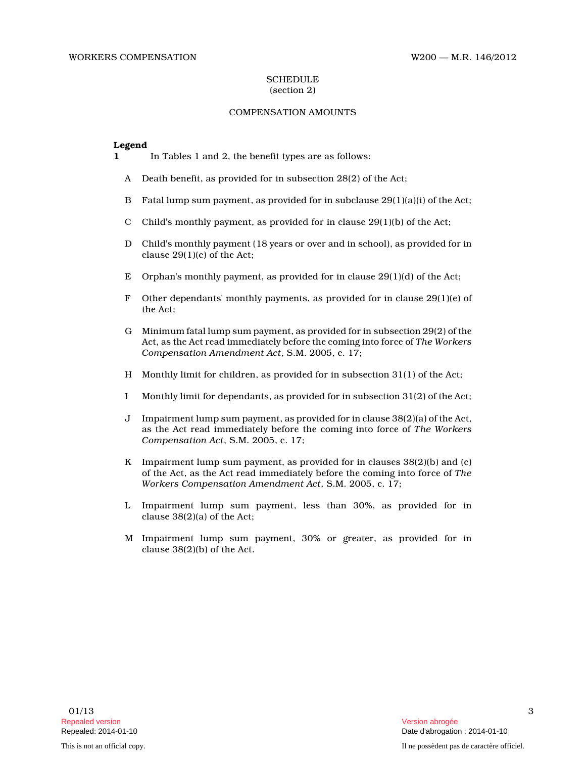#### **SCHEDULE** (section 2)

### COMPENSATION AMOUNTS

#### **Legend**

- **1** In Tables 1 and 2, the benefit types are as follows:
	- A Death benefit, as provided for in subsection 28(2) of the Act;
	- B Fatal lump sum payment, as provided for in subclause 29(1)(a)(i) of the Act;
	- C Child's monthly payment, as provided for in clause  $29(1)(b)$  of the Act;
	- D Child's monthly payment (18 years or over and in school), as provided for in clause 29(1)(c) of the Act;
	- E Orphan's monthly payment, as provided for in clause 29(1)(d) of the Act;
	- F Other dependants' monthly payments, as provided for in clause  $29(1)(e)$  of the Act;
	- G Minimum fatal lump sum payment, as provided for in subsection 29(2) of the Act, as the Act read immediately before the coming into force of *The Workers Compensation Amendment Act*, S.M. 2005, c. 17;
	- H Monthly limit for children, as provided for in subsection 31(1) of the Act;
	- I Monthly limit for dependants, as provided for in subsection 31(2) of the Act;
	- J Impairment lump sum payment, as provided for in clause 38(2)(a) of the Act, as the Act read immediately before the coming into force of *The Workers Compensation Act*, S.M. 2005, c. 17;
	- K Impairment lump sum payment, as provided for in clauses 38(2)(b) and (c) of the Act, as the Act read immediately before the coming into force of *The Workers Compensation Amendment Act*, S.M. 2005, c. 17;
	- L Impairment lump sum payment, less than 30%, as provided for in clause 38(2)(a) of the Act;
	- M Impairment lump sum payment, 30% or greater, as provided for in clause 38(2)(b) of the Act.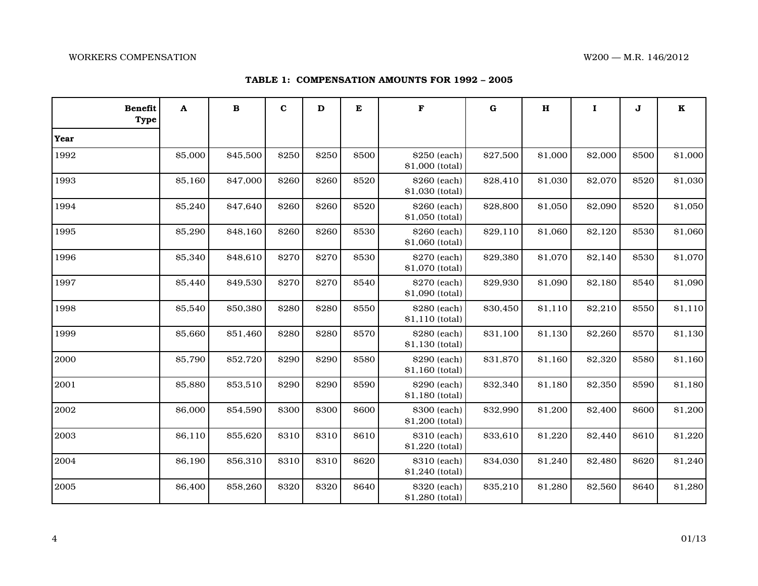### WORKERS COMPENSATION W200 — M.R. 146/2012

# **TABLE 1: COMPENSATION AMOUNTS FOR 1992 – 2005**

| <b>Benefit</b><br><b>Type</b> | $\mathbf{A}$ | $\bf{B}$ | $\mathbf c$ | $\mathbf D$ | E            | $\mathbf F$                     | $\mathbf G$ | $\mathbf H$ | $\mathbf I$ | J            | $\mathbf K$ |
|-------------------------------|--------------|----------|-------------|-------------|--------------|---------------------------------|-------------|-------------|-------------|--------------|-------------|
| Year                          |              |          |             |             |              |                                 |             |             |             |              |             |
| 1992                          | \$5,000      | \$45,500 | \$250       | \$250       | \$500        | \$250 (each)<br>\$1,000 (total) | \$27,500    | \$1,000     | \$2,000     | \$500        | \$1,000     |
| 1993                          | \$5,160      | \$47,000 | \$260       | \$260       | \$520        | \$260 (each)<br>\$1,030 (total) | \$28,410    | \$1,030     | \$2,070     | \$520        | \$1,030     |
| 1994                          | \$5,240      | \$47,640 | \$260       | \$260       | \$520        | \$260 (each)<br>\$1,050 (total) | \$28,800    | \$1,050     | \$2,090     | \$520        | \$1,050     |
| 1995                          | \$5,290      | \$48,160 | \$260       | \$260       | <b>\$530</b> | \$260 (each)<br>\$1,060 (total) | \$29,110    | \$1,060     | \$2,120     | \$530        | \$1,060     |
| 1996                          | \$5,340      | \$48,610 | \$270       | \$270       | <b>\$530</b> | \$270 (each)<br>\$1,070 (total) | \$29,380    | \$1,070     | \$2,140     | \$530        | \$1,070     |
| 1997                          | \$5,440      | \$49,530 | \$270       | \$270       | \$540        | \$270 (each)<br>\$1,090 (total) | \$29,930    | \$1,090     | \$2,180     | \$540        | \$1,090     |
| 1998                          | \$5,540      | \$50,380 | \$280       | \$280       | <b>\$550</b> | \$280 (each)<br>\$1,110 (total) | \$30,450    | \$1,110     | \$2,210     | <b>\$550</b> | \$1,110     |
| 1999                          | \$5,660      | \$51,460 | \$280       | \$280       | \$570        | \$280 (each)<br>\$1,130 (total) | \$31,100    | \$1,130     | \$2,260     | \$570        | \$1,130     |
| 2000                          | \$5,790      | \$52,720 | \$290       | \$290       | \$580        | \$290 (each)<br>\$1,160 (total) | \$31,870    | \$1,160     | \$2,320     | \$580        | \$1,160     |
| 2001                          | \$5,880      | \$53,510 | \$290       | \$290       | \$590        | \$290 (each)<br>\$1,180 (total) | \$32,340    | \$1,180     | \$2,350     | \$590        | \$1,180     |
| 2002                          | \$6,000      | \$54,590 | \$300       | \$300       | \$600        | \$300 (each)<br>\$1,200 (total) | \$32,990    | \$1,200     | \$2,400     | \$600        | \$1,200     |
| 2003                          | \$6,110      | \$55,620 | \$310       | \$310       | \$610        | \$310 (each)<br>\$1,220 (total) | \$33,610    | \$1,220     | \$2,440     | \$610        | \$1,220     |
| 2004                          | \$6,190      | \$56,310 | \$310       | \$310       | \$620        | \$310 (each)<br>\$1,240 (total) | \$34,030    | \$1,240     | \$2,480     | \$620        | \$1,240     |
| 2005                          | \$6,400      | \$58,260 | \$320       | \$320       | \$640        | \$320 (each)<br>\$1,280 (total) | \$35,210    | \$1,280     | \$2,560     | \$640        | \$1,280     |